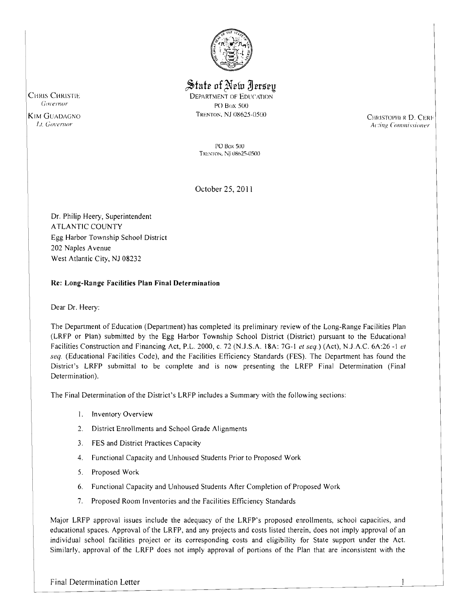

 $\frac{1}{2}$ State of New Iersey CHRIS CHRISTIE DEPARTMENT OF EDUCATION GOVERNOT CHRISTIE PO Box 500

CHRISTOPHER D. CERE *Acting Commissioner* 

PO Box SOU TRENTON, NJ 08625-0500

October 25, 2011

Dr. Philip Heery, Superintendent ATLANTIC COUNTY Egg Harbor Township School District 202 Naples Avenue West Atlantic City, NJ 08232

### Re: Long-Range Facilities Plan Final Determination

Dear Dr. Heery:

The Department of Education (Department) has completed its preliminary review of the Long-Range Facilities Plan (LRFP or Plan) submitted by the Egg Harbor Township School District (District) pursuant to the Educational Facilities Construction and Financing Act, P.L. 2000, c. 72 (NJ.S.A. 18A: 7G-l *1'1 seq)* (Act), NJAC. 6A:26 -I *1'1 seq.* (Educational Facilities Code), and the Facilities Efficiency Standards (FES). The Department has found the District's LRFP submittal to be complete and is now presenting the LRFP Final Determination (Final Determination).

The Final Determination of the District's LRFP includes a Summary with the following sections:

- I. Inventory Overview
- 2. District Enrollments and School Grade Alignments
- 3. FES and District Practices Capacity
- 4. Functional Capacity and Unhoused Students Prior to Proposed Work
- 5. Proposed Work
- 6. Functional Capacity and Unhoused Students After Completion of Proposed Work
- 7. Proposed Room Inventories and the Facilities Efficiency Standards

Major LRFP approval issues include the adequacy of the LRFP's proposed enrollments, school capacities, and educational spaces. Approval of the LRFP, and any projects and costs listed therein, does not imply approval of an individual school facilities project or its corresponding costs and eligibility for State support under the Act. Similarly, approval of the LRFP does not imply approval of portions of the Plan that are inconsistent with the

KIM GUADAGNO TRENTON, NJ 08625-0500

 $\overline{\phantom{a}}$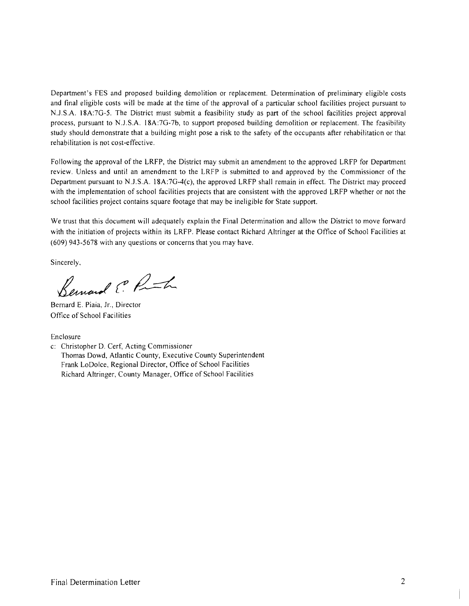Department's FES and proposed building demolition or replacement. Determination of preliminary eligible costs and final eligible costs will be made at the time of the approval of a particular school facilities project pursuant to N.J.S,A. 18A:7G-5. The District must submit a feasibility study as part of the school facilities project approval process, pursuant to N.J .S.A. l8A:7G-7b, to support proposed building demolition or replacement. The feasibility study should demonstrate that a building might pose a risk to the safety of the occupants after rehabilitation or that rehabilitation is not cost-effective.

Following the approval of the LRFP, the District may submit an amendment to the approved LRFP for Department review. Unless and until an amendment to the LRFP is submitted to and approved by the Commissioner of the Department pursuant to N.J .S.A. 18A:7G-4(c), the approved LRFP shall remain in effect. The District may proceed with the implementation of school facilities projects that are consistent with the approved LRFP whether or not the school facilities project contains square footage that may be ineligible for State support.

We trust that this document will adequately explain the Final Determination and allow the District to move forward with the initiation of projects within its LRFP. Please contact Richard Altringer at the Office of School Facilities at (609) 943-5678 with any questions or concerns that you may have.

Sincerely,

Bernard E. P. In

Bernard E. Piaia, Jr., Director Office of School Facilities

Enclosure

c: Christopher D. Cerf, Acting Commissioner Thomas Dowd, Atlantic County, Executive County Superintendent Frank LoDolce, Regional Director, Office of School Facilities Richard Altringer, County Manager, Office of School Facilities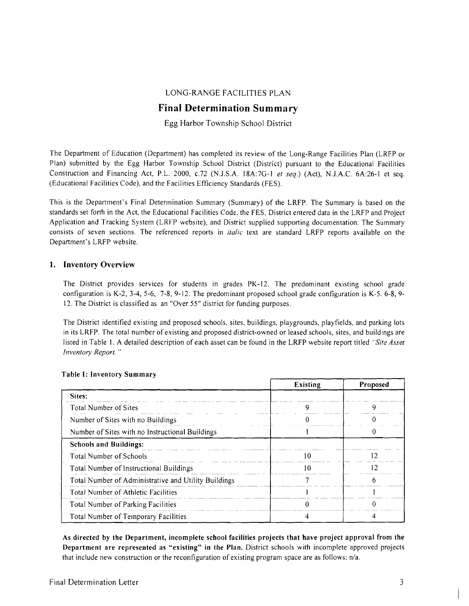## LONG-RANGE FACILITIES PLAN

# **Final Determination Summary**

Egg Harbor Township School District

The Department of Education (Department) has completed its review of the Long-Range Facilities Plan (LRFP or Plan) submitted by the Egg Harbor Township School District (District) pursuant to the Educational Facilities Construction and Financing Act, P.L. 2000, *c.72* (N.J.S.A. 18A:7G-1 *et seq.*) (Act), N.J.A.C. 6A:26-1 et seq. (Educational Facilities Code), and the Facilities Efficiency Standards (FES).

This is the Department's Final Determination Summary (Summary) of the LRFP. The Summary is based on the standards set forth in the Act, the Educational Facilities Code, the FES, District entered data in the LRFP and Project Application and Tracking System (LRFP website), and District supplied supporting documentation. The Summary consists of seven sections. The referenced reports in *italic* text are standard LRFP reports available on the Department's LRFP website.

### 1. Inventory Overview

The District provides services for students in grades PK-12. The predominant existing school grade configuration is K-2, 3-4, 5-6, 7-8, 9-12. The predominant proposed school grade configuration is K-5. 6-8,9 12. The District is classified as an "Over 55" district for funding purposes.

The District identified existing and proposed schools, sites, buildings, playgrounds, playfields, and parking lots in its LRFP. The total number of existing and proposed district-owned or leased schools, sites, and build ings are listed in Table 1. A detailed description of each asset can be found in the LRFP website report titled *"Site Asset Inventory Report. "* 

|                                                      | <b>Existing</b> | Proposed |
|------------------------------------------------------|-----------------|----------|
| Sites:                                               |                 |          |
| Total Number of Sites                                |                 |          |
| Number of Sites with no Buildings                    |                 |          |
| Number of Sites with no Instructional Buildings      |                 |          |
| <b>Schools and Buildings:</b>                        |                 |          |
| <b>Total Number of Schools</b>                       | 10              | ר ו      |
| Total Number of Instructional Buildings              | 10              | 7        |
| Total Number of Administrative and Utility Buildings |                 |          |
| Total Number of Athletic Facilities                  |                 |          |
| Total Number of Parking Facilities                   |                 |          |
| Total Number of Temporary Facilities                 |                 |          |

#### Table I: Inventory Summary

As directed by the Department, incomplete school facilities projects that have project approval from the Department are represented as "existing" in the Plan. District schools with incomplete approved projects that include new construction or the reconfiguration of existing program space are as follows: n/a.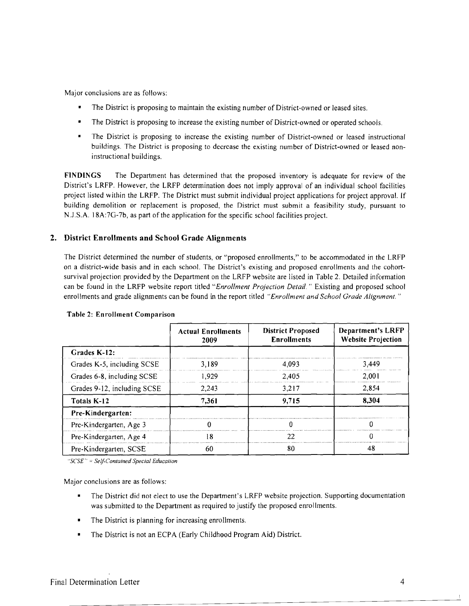Major conclusions are as follows:

- The District is proposing to maintain the existing number of District-owned or leased sites.
- The District is proposing to increase the existing number of District-owned or operated schools.
- The District is proposing to increase the existing number of District-owned or leased instructional buildings. The District is proposing to decrease the existing number of District-owned or leased noninstructional buildings.

FINDINGS The Department has determined that the proposed inventory is adequate for review of the District's LRFP. However, the LRFP determination does not imply approval of an individual school facilities project listed within the LRFP. The District must submit individual project applications for project approval. If building demolition or replacement is proposed, the District must submit a feasibility study, pursuant to N.J.S.A. 18A:7G-7b, as part of the application for the specific school facilities project.

### 2. District Enrollments and School Grade Alignments

The District determined the number of students, or "proposed enrollments," to be accommodated in the LRFP on a district-wide basis and in each school. The District's existing and proposed enrollments and the cohortsurvival projection provided by the Department on the LRFP website are listed in Table 2. Detailed information can be found in the LRFP website report titled "Enrollment Projection Detail." Existing and proposed school enrollments and grade alignments can be found in the report titled *"Enrollment and School Grade Alignment, "* 

|                             | <b>Actual Enrollments</b><br>2009 | <b>District Proposed</b><br><b>Enrollments</b> | <b>Department's LRFP</b><br><b>Website Projection</b> |
|-----------------------------|-----------------------------------|------------------------------------------------|-------------------------------------------------------|
| Grades K-12:                |                                   |                                                |                                                       |
| Grades K-5, including SCSE  | 3.189                             | 4.093                                          | 3.449                                                 |
| Grades 6-8, including SCSE  | 1.929                             | 2.405                                          | 2.001                                                 |
| Grades 9-12, including SCSE | 2.243                             | 3.217                                          | 2.854                                                 |
| Totals K-12                 | 7.361                             | 9,715                                          | 8.304                                                 |
| Pre-Kindergarten:           |                                   |                                                |                                                       |
| Pre-Kindergarten, Age 3     |                                   |                                                |                                                       |
| Pre-Kindergarten, Age 4     | -8                                |                                                |                                                       |
| Pre-Kindergarten, SCSE      | 60                                | 80                                             | 48                                                    |

#### Table 2: Enrollment Comparison

*"SCSE* '. = *Self-Contained Special Education* 

Major conclusions are as follows:

- The District did not elect to use the Department's LRFP website projection. Supporting documentation was submitted to the Department as required to justify the proposed enrollments.
- The District is planning for increasing enrollments.
- The District is not an ECPA (Early Childhood Program Aid) District.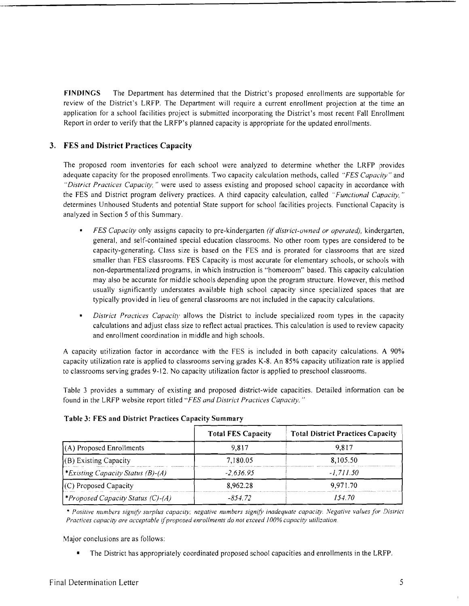**FINDINGS** The Department has determined that the District's proposed enrollments are supportable for review of the District's LRFP. The Department will require a current enrollment projection at the time an application for a school facilities project is submitted incorporating the District's most recent Fall Enrollment Report in order to verify that the LRFP's planned capacity is appropriate for the updated enrollments.

## **3. FES and District Practices Capacity**

The proposed room inventories for each school were analyzed to determine whether the LRFP provides adequate capacity for the proposed enrollments. Two capacity calculation methods, called *"FES Capacity"* and *"District Practices Capacity,"* were used to assess existing and proposed school capacity in accordance with the FES and District program delivery practices. A third capacity calculation, called *"Functional Capacity,"* determines Unhoused Students and potential State support for school facilities projects. Functional Capacity is analyzed in Section 5 of this Summary.

- *FES Capacity* only assigns capacity to pre-kindergarten *(if district-owned or operated),* kindergarten, general, and self-contained special education classrooms. No other room types are considered to be capacity-generating. Class size is based on the FES and is prorated for classrooms that are sized smaller than FES classrooms. FES Capacity is most accurate for elementary schools, or schools with non-departmentalized programs, in which instruction is "homeroom" based. This capacity cakulation may also be accurate for middle schools depending upon the program structure. However, this method usually significantly understates available high school capacity since specialized spaces that are typically provided in lieu of general classrooms are not included in the capacity calculations.
- *District Practices Capacity* allows the District to include specialized room types in the capacity calculations and adjust class size to reflect actual practices. This calculation is used to review capacity and enrollment coordination in middle and high schools.

A capacity utilization factor in accordance with the FES is included in both capacity calculations. A 90% capacity utilization rate is applied to classrooms serving grades K-8. An 85% capacity utilization rate is applied to classrooms serving grades 9-12. No capacity utilization factor is applied to preschool classrooms.

Table 3 provides a summary of existing and proposed district-wide capacities. Detailed information can be found in the LRFP website report titled *"FES and District Practices Capacity. "* 

|                                          | <b>Total FES Capacity</b> | <b>Total District Practices Capacity</b> |
|------------------------------------------|---------------------------|------------------------------------------|
| $(A)$ Proposed Enrollments               | 9.817                     | 9.817                                    |
| (B) Existing Capacity                    | 7,180.05                  | 8,105.50                                 |
| *Existing Capacity Status (B)-(A)        | $-2.636.95$               | $-1.711.50$                              |
| $(C)$ Proposed Capacity                  | 8.962.28                  | 9,971.70                                 |
| <i>*Proposed Capacity Status (C)-(A)</i> | -854.72                   | 154.70                                   |

#### **Table 3: FES and District Practices Capacity Summary**

*• Positive numbers signifY sUiplus capacity, negative numbers signifY inadequate capacity Negative values for District Practices capacity are acceptable* if*proposed enrollments do not exceed 100% capacity utilization.* 

Major conclusions are as follows:

• The District has appropriately coordinated proposed school capacities and enrollments in the LRFP.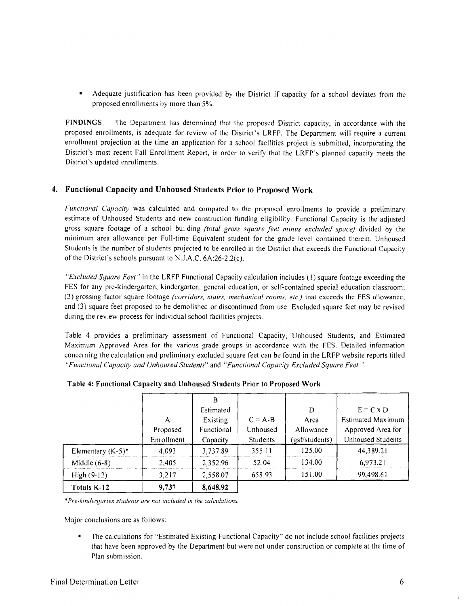Adequate justification has been provided by the District if capacity for a school deviates from the proposed enrollments by more than 5%.

FINDINGS The Department has determined that the proposed District capacity, in accordance with the proposed enrollments, is adequate for review of the District's LRFP. The Department will require a current enrollment projection at the time an application for a school facilities project is submitted, incorporating the District's most recent Fall Enrollment Report, in order to verify that the LRFP's planned capacity meets the District's updated enrollments.

### 4. Functional Capacity and Unhoused Students Prior to Proposed Work

*FUllctional Capacity* was calculated and compared to the proposed enrollments to provide a preliminary estimate of Unhoused Students and new construction funding eligibility. Functional Capacity is the adjusted gross square footage of a school building *(total gross square feet minus excluded space)* divided by the minimum area allowance per Full-time Equivalent student for the grade level contained therein. Unhoused Students is the number of students projected to be enrolled in the District that exceeds the Functional Capacity of the District's schools pursuant to N.lA.C. 6A:26-2.2(c).

*"Excluded Square Feet"* in the LRFP Functional Capacity calculation includes (I) square footage exceeding the FES for any pre-kindergarten, kindergarten, general education, or self-contained special education classroom; (2) grossing factor square footage *(corridors, stairs, mechanical rooms, etc.)* that exceeds the FES allowance, and (3) square feet proposed to be demolished or discontinued from use. Excluded square feet may be revised during the review process for individual school facilities projects.

Table 4 provides a preliminary assessment of Functional Capacity, Unhoused Students, and Estimated Maximum Approved Area for the various grade groups in accordance with the FES. Detailed information concerning the calculation and preliminary excluded square feet can be found in the LRFP website reports titled *"Fullctiullal Capacity and Unhoused Students"* and *"Functiunal Capacity Excluded Square Feet. "* 

| Totals K-12          | 9,737                  | 8,648.92                   |                             |                             |                                              |
|----------------------|------------------------|----------------------------|-----------------------------|-----------------------------|----------------------------------------------|
| $High (9-12)$        | 3,217                  | 2,558.07                   | 658.93                      | 151.00                      | 99,498.61                                    |
| Middle $(6-8)$       | 2.405                  | 2.352.96                   | 52.04                       | 134.00                      | 6,973.21                                     |
| Elementary $(K-5)^*$ | 4,093                  | 3,737.89                   | 355.11                      | 125.00                      | 44,389.21                                    |
|                      | Proposed<br>Enrollment | Functional<br>Capacity     | Unhoused<br><b>Students</b> | Allowance<br>(gsf/students) | Approved Area for<br>Unhoused Students       |
|                      | A                      | В<br>Estimated<br>Existing | $C = A-B$                   | D<br>Area                   | $E = C \times D$<br><b>Estimated Maximum</b> |

Table 4: Functional Capacity and Unhoused Students Prior to Proposed Work

\**Pre-kindergarlen sludenls are nol included in Ihe calculalions.* 

Major conclusions are as follows:

The calculations for "Estimated Existing Functional Capacity" do not include school facilities projects that have been approved by the Department but were not under construction or complete at the lime of Plan submission.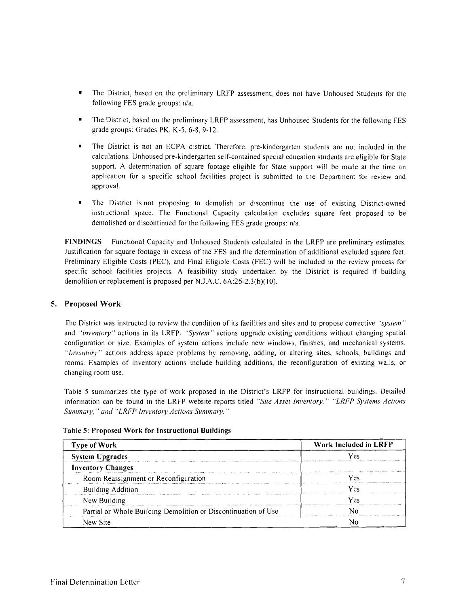- The District, based on the preliminary LRFP assessment, does not have Unhoused Students for the following FES grade groups: n/a.
- The District, based on the preliminary LRFP assessment, has Unhoused Students for the following FES grade groups: Grades PK, K-5, 6-8,9-12.
- The District is not an ECPA district. Therefore, pre-kindergarten students are not included in the calculations. Unhoused pre-kindergarten self-contained special education students are eligible for State support. A determination of square footage eligible for State support will be made at the time an application for a specific school facilities project is submitted to the Department for review and approval.
- The District is not proposing to demolish or discontinue the use of existing District-owned instructional space. The Functional Capacity calculation excludes square feet proposed to be demolished or discontinued for the following FES grade groups: n/a.

**FINDINGS** Functional Capacity and Unhoused Students calculated in the LRFP are preliminary estimates. lustitlcation for square footage in excess of the FES and the determination of additional excluded square feet, Preliminary Eligible Costs (PEC), and Final Eligible Costs (FEC) will be included in the review process for specific school facilities projects. A feasibility study undertaken by the District is required if building demolition or replacement is proposed per N.J.A.C. 6A:26-2.3(b)(10).

### **5. Proposed Work**

The District was instructed to review the condition of its facilities and sites and to propose corrective *"system"*  and *"inventory"* actions in its LRFP. *"System"* actions upgrade existing conditions without changing spatial configuration or size. Examples of system actions include new windows, finishes, and mechanical systems. *"Inventory"* actions address space problems by removing, adding, or altering sites, schools, buildings and rooms. Examples of inventory actions include building additions, the reconfiguration of existing walls, or changing room use.

Table 5 summarizes the type of work proposed in the District's LRFP for instructional buildings. Detailed information can be found in the LRFP website reports titled *"Site Asset Inventory," "LRFP Systems Actions Summary,* " *and "LRFP Inventory Actions Summary. "* 

| Type of Work                                                   | Work Included in LRFP<br>Y AS |  |
|----------------------------------------------------------------|-------------------------------|--|
| <b>System Upgrades</b>                                         |                               |  |
| <b>Inventory Changes</b>                                       |                               |  |
| Room Reassignment or Reconfiguration                           | Ves                           |  |
| <b>Building Addition</b>                                       | Yes                           |  |
| New Building                                                   | Ves                           |  |
| Partial or Whole Building Demolition or Discontinuation of Use |                               |  |
| New Site                                                       |                               |  |

#### **Table 5: Proposed Work for Instructional Buildings**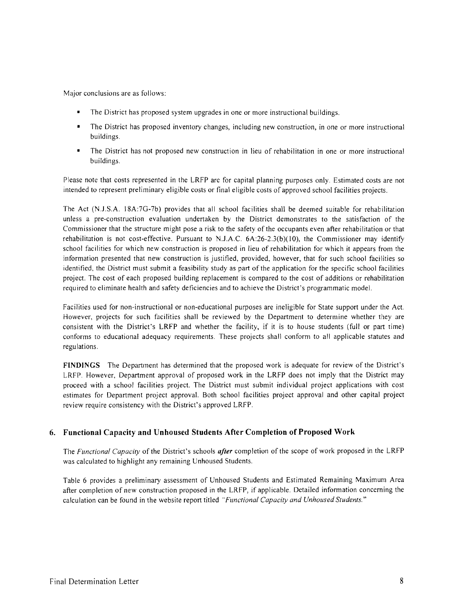Major conclusions are as follows:

- The District has proposed system upgrades in one or more instructional buildings.
- The District has proposed inventory changes, including new construction, in one or more instructional buildings.
- • The District has not proposed new construction in lieu of rehabilitation in one or more instructional buildings.

Please note that costs represented in the LRFP are for capital planning purposes only. Estimated costs are not intended to represent preliminary eligible costs or final eligible costs of approved school facilities projects.

The Act (N.J.S.A. 18A:7G-7b) provides that all school facilities shall be deemed suitable for rehabilitation unless a pre-construction evaluation undertaken by the District demonstrates to the satisfaction of the Commissioner that the structure might pose a risk to the safety of the occupants even after rehabilitation or that rehabilitation is not cost-effective. Pursuant to N.J.A.C.  $6A:26-2.3(b)(10)$ , the Commissioner may identify school facilities for which new construction is proposed in lieu of rehabilitation for which it appears from the information presented that new construction is justified, provided, however, that for such school facilities so identified, the District must submit a feasibility study as part of the application for the specific school facilities project. The cost of each proposed building replacement is compared to the cost of additions or rehabilitation required to eliminate health and safety deficiencies and to achieve the District's programmatic model.

Facilities used for non-instructional or non-educational purposes are ineligible for State support under the Act. However, projects for such facilities shall be reviewed by the Department to determine whether they are consistent with the District's LRFP and whether the facility, if it is to house students (full or part time) conforms to educational adequacy requirements. These projects shall conform to all applicable statutes and regulations.

FINDINGS The Department has determined that the proposed work is adequate for review of the District's LRFP. However, Department approval of proposed work in the LRFP does not imply that the District may proceed with a school facilities project. The District must submit individual project applications with cost estimates for Department project approval. Both school facilities project approval and other capital project review require consistency with the District's approved LRFP.

#### 6. Functional Capacity **amI** Unhoused Students After Completion of Proposed Work

The *Functional Capacity* of the District's schools *after* completion of the scope of work proposed in the LRFP was calculated to highlight any remaining Unhoused Students.

Table 6 provides a preliminary assessment of Unhoused Students and Estimated Remaining Maximum Area after completion of new construction proposed in the LRFP, if applicable. Detailed information concerning the calculation can be found in the website report titled *"Functional Capacity and Unhoused Students."*